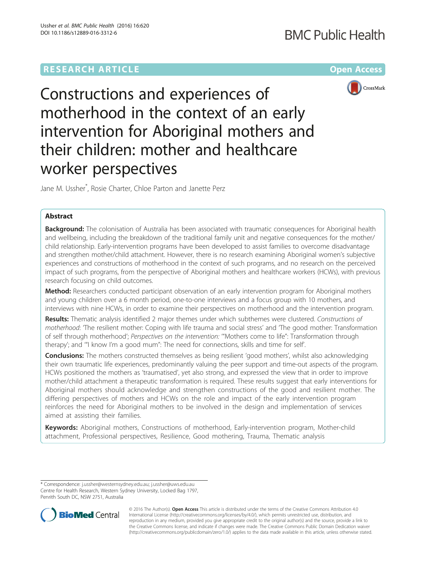# **RESEARCH ARTICLE Example 2014 12:30 The Company Access** (RESEARCH ARTICLE

# **BMC Public Health**



Constructions and experiences of motherhood in the context of an early intervention for Aboriginal mothers and their children: mother and healthcare worker perspectives

Jane M. Ussher\* , Rosie Charter, Chloe Parton and Janette Perz

# Abstract

Background: The colonisation of Australia has been associated with traumatic consequences for Aboriginal health and wellbeing, including the breakdown of the traditional family unit and negative consequences for the mother/ child relationship. Early-intervention programs have been developed to assist families to overcome disadvantage and strengthen mother/child attachment. However, there is no research examining Aboriginal women's subjective experiences and constructions of motherhood in the context of such programs, and no research on the perceived impact of such programs, from the perspective of Aboriginal mothers and healthcare workers (HCWs), with previous research focusing on child outcomes.

Method: Researchers conducted participant observation of an early intervention program for Aboriginal mothers and young children over a 6 month period, one-to-one interviews and a focus group with 10 mothers, and interviews with nine HCWs, in order to examine their perspectives on motherhood and the intervention program.

Results: Thematic analysis identified 2 major themes under which subthemes were clustered. Constructions of motherhood: 'The resilient mother: Coping with life trauma and social stress' and 'The good mother: Transformation of self through motherhood'; Perspectives on the intervention: '"Mothers come to life": Transformation through therapy'; and '"I know I'm a good mum": The need for connections, skills and time for self'.

**Conclusions:** The mothers constructed themselves as being resilient 'good mothers', whilst also acknowledging their own traumatic life experiences, predominantly valuing the peer support and time-out aspects of the program. HCWs positioned the mothers as 'traumatised', yet also strong, and expressed the view that in order to improve mother/child attachment a therapeutic transformation is required. These results suggest that early interventions for Aboriginal mothers should acknowledge and strengthen constructions of the good and resilient mother. The differing perspectives of mothers and HCWs on the role and impact of the early intervention program reinforces the need for Aboriginal mothers to be involved in the design and implementation of services aimed at assisting their families.

Keywords: Aboriginal mothers, Constructions of motherhood, Early-intervention program, Mother-child attachment, Professional perspectives, Resilience, Good mothering, Trauma, Thematic analysis

<sup>\*</sup> Correspondence: [j.ussher@westernsydney.edu.au;](mailto:j.ussher@westernsydney.edu.au) [j.ussher@uws.edu.au](mailto:j.ussher@uws.edu.au) Centre for Health Research, Western Sydney University, Locked Bag 1797, Penrith South DC, NSW 2751, Australia



© 2016 The Author(s). Open Access This article is distributed under the terms of the Creative Commons Attribution 4.0 International License [\(http://creativecommons.org/licenses/by/4.0/](http://creativecommons.org/licenses/by/4.0/)), which permits unrestricted use, distribution, and reproduction in any medium, provided you give appropriate credit to the original author(s) and the source, provide a link to the Creative Commons license, and indicate if changes were made. The Creative Commons Public Domain Dedication waiver [\(http://creativecommons.org/publicdomain/zero/1.0/](http://creativecommons.org/publicdomain/zero/1.0/)) applies to the data made available in this article, unless otherwise stated.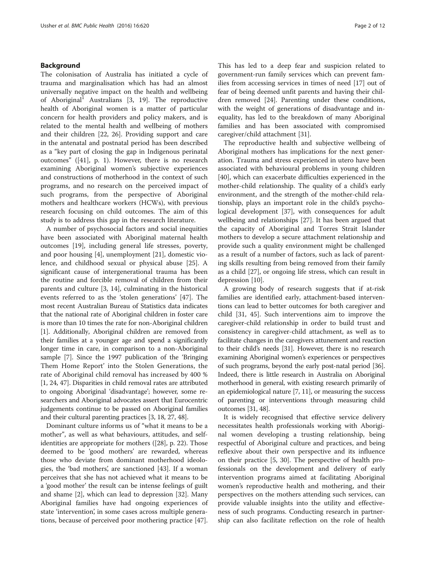# Background

The colonisation of Australia has initiated a cycle of trauma and marginalisation which has had an almost universally negative impact on the health and wellbeing of Aboriginal<sup>1</sup> Australians [[3](#page-10-0), [19](#page-11-0)]. The reproductive health of Aboriginal women is a matter of particular concern for health providers and policy makers, and is related to the mental health and wellbeing of mothers and their children [\[22, 26\]](#page-11-0). Providing support and care in the antenatal and postnatal period has been described as a "key part of closing the gap in Indigenous perinatal outcomes" ([\[41](#page-11-0)], p. 1). However, there is no research examining Aboriginal women's subjective experiences and constructions of motherhood in the context of such programs, and no research on the perceived impact of such programs, from the perspective of Aboriginal mothers and healthcare workers (HCWs), with previous research focusing on child outcomes. The aim of this study is to address this gap in the research literature.

A number of psychosocial factors and social inequities have been associated with Aboriginal maternal health outcomes [\[19](#page-11-0)], including general life stresses, poverty, and poor housing [\[4](#page-11-0)], unemployment [[21](#page-11-0)], domestic violence, and childhood sexual or physical abuse [[25](#page-11-0)]. A significant cause of intergenerational trauma has been the routine and forcible removal of children from their parents and culture [\[3](#page-10-0), [14](#page-11-0)], culminating in the historical events referred to as the 'stolen generations' [[47](#page-11-0)]. The most recent Australian Bureau of Statistics data indicates that the national rate of Aboriginal children in foster care is more than 10 times the rate for non-Aboriginal children [[1\]](#page-10-0). Additionally, Aboriginal children are removed from their families at a younger age and spend a significantly longer time in care, in comparison to a non-Aboriginal sample [[7](#page-11-0)]. Since the 1997 publication of the 'Bringing Them Home Report' into the Stolen Generations, the rate of Aboriginal child removal has increased by 400 % [[1,](#page-10-0) [24](#page-11-0), [47\]](#page-11-0). Disparities in child removal rates are attributed to ongoing Aboriginal 'disadvantage'; however, some researchers and Aboriginal advocates assert that Eurocentric judgements continue to be passed on Aboriginal families and their cultural parenting practices [\[3](#page-10-0), [18, 27, 48](#page-11-0)].

Dominant culture informs us of "what it means to be a mother", as well as what behaviours, attitudes, and selfidentities are appropriate for mothers ([\[28](#page-11-0)], p. 22). Those deemed to be 'good mothers' are rewarded, whereas those who deviate from dominant motherhood ideologies, the 'bad mothers', are sanctioned [\[43\]](#page-11-0). If a woman perceives that she has not achieved what it means to be a 'good mother' the result can be intense feelings of guilt and shame [[2\]](#page-10-0), which can lead to depression [[32\]](#page-11-0). Many Aboriginal families have had ongoing experiences of state 'intervention', in some cases across multiple generations, because of perceived poor mothering practice [\[47](#page-11-0)]. This has led to a deep fear and suspicion related to government-run family services which can prevent families from accessing services in times of need [\[17](#page-11-0)] out of fear of being deemed unfit parents and having their children removed [[24\]](#page-11-0). Parenting under these conditions, with the weight of generations of disadvantage and inequality, has led to the breakdown of many Aboriginal families and has been associated with compromised caregiver/child attachment [\[31\]](#page-11-0).

The reproductive health and subjective wellbeing of Aboriginal mothers has implications for the next generation. Trauma and stress experienced in utero have been associated with behavioural problems in young children [[40\]](#page-11-0), which can exacerbate difficulties experienced in the mother-child relationship. The quality of a child's early environment, and the strength of the mother-child relationship, plays an important role in the child's psychological development [[37\]](#page-11-0), with consequences for adult wellbeing and relationships [\[27](#page-11-0)]. It has been argued that the capacity of Aboriginal and Torres Strait Islander mothers to develop a secure attachment relationship and provide such a quality environment might be challenged as a result of a number of factors, such as lack of parenting skills resulting from being removed from their family as a child [[27\]](#page-11-0), or ongoing life stress, which can result in depression [\[10](#page-11-0)].

A growing body of research suggests that if at-risk families are identified early, attachment-based interventions can lead to better outcomes for both caregiver and child [[31, 45\]](#page-11-0). Such interventions aim to improve the caregiver-child relationship in order to build trust and consistency in caregiver-child attachment, as well as to facilitate changes in the caregivers attunement and reaction to their child's needs [\[31\]](#page-11-0). However, there is no research examining Aboriginal women's experiences or perspectives of such programs, beyond the early post-natal period [\[36](#page-11-0)]. Indeed, there is little research in Australia on Aboriginal motherhood in general, with existing research primarily of an epidemiological nature [[7](#page-11-0), [11\]](#page-11-0), or measuring the success of parenting or interventions through measuring child outcomes [[31](#page-11-0), [48](#page-11-0)].

It is widely recognised that effective service delivery necessitates health professionals working with Aboriginal women developing a trusting relationship, being respectful of Aboriginal culture and practices, and being reflexive about their own perspective and its influence on their practice [\[5, 30\]](#page-11-0). The perspective of health professionals on the development and delivery of early intervention programs aimed at facilitating Aboriginal women's reproductive health and mothering, and their perspectives on the mothers attending such services, can provide valuable insights into the utility and effectiveness of such programs. Conducting research in partnership can also facilitate reflection on the role of health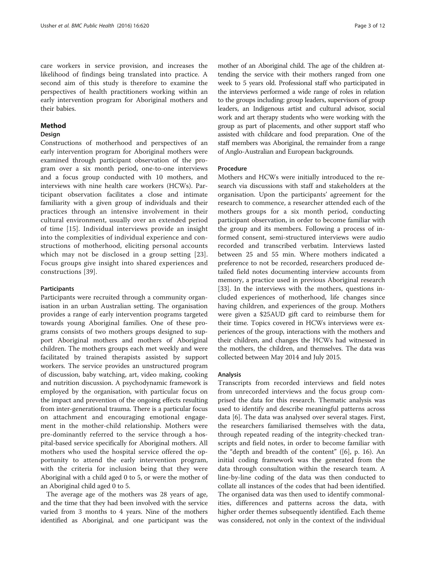care workers in service provision, and increases the likelihood of findings being translated into practice. A second aim of this study is therefore to examine the perspectives of health practitioners working within an early intervention program for Aboriginal mothers and their babies.

#### Method

#### **Design**

Constructions of motherhood and perspectives of an early intervention program for Aboriginal mothers were examined through participant observation of the program over a six month period, one-to-one interviews and a focus group conducted with 10 mothers, and interviews with nine health care workers (HCWs). Participant observation facilitates a close and intimate familiarity with a given group of individuals and their practices through an intensive involvement in their cultural environment, usually over an extended period of time [\[15](#page-11-0)]. Individual interviews provide an insight into the complexities of individual experience and constructions of motherhood, eliciting personal accounts which may not be disclosed in a group setting [[23](#page-11-0)]. Focus groups give insight into shared experiences and constructions [\[39](#page-11-0)].

### Participants

Participants were recruited through a community organisation in an urban Australian setting. The organisation provides a range of early intervention programs targeted towards young Aboriginal families. One of these programs consists of two mothers groups designed to support Aboriginal mothers and mothers of Aboriginal children. The mothers groups each met weekly and were facilitated by trained therapists assisted by support workers. The service provides an unstructured program of discussion, baby watching, art, video making, cooking and nutrition discussion. A psychodynamic framework is employed by the organisation, with particular focus on the impact and prevention of the ongoing effects resulting from inter-generational trauma. There is a particular focus on attachment and encouraging emotional engagement in the mother-child relationship. Mothers were pre-dominantly referred to the service through a hospital-based service specifically for Aboriginal mothers. All mothers who used the hospital service offered the opportunity to attend the early intervention program, with the criteria for inclusion being that they were Aboriginal with a child aged 0 to 5, or were the mother of an Aboriginal child aged 0 to 5.

The average age of the mothers was 28 years of age, and the time that they had been involved with the service varied from 3 months to 4 years. Nine of the mothers identified as Aboriginal, and one participant was the

mother of an Aboriginal child. The age of the children attending the service with their mothers ranged from one week to 5 years old. Professional staff who participated in the interviews performed a wide range of roles in relation to the groups including: group leaders, supervisors of group leaders, an Indigenous artist and cultural advisor, social work and art therapy students who were working with the group as part of placements, and other support staff who assisted with childcare and food preparation. One of the staff members was Aboriginal, the remainder from a range of Anglo-Australian and European backgrounds.

#### Procedure

Mothers and HCWs were initially introduced to the research via discussions with staff and stakeholders at the organisation. Upon the participants' agreement for the research to commence, a researcher attended each of the mothers groups for a six month period, conducting participant observation, in order to become familiar with the group and its members. Following a process of informed consent, semi-structured interviews were audio recorded and transcribed verbatim. Interviews lasted between 25 and 55 min. Where mothers indicated a preference to not be recorded, researchers produced detailed field notes documenting interview accounts from memory, a practice used in previous Aboriginal research [[33\]](#page-11-0). In the interviews with the mothers, questions included experiences of motherhood, life changes since having children, and experiences of the group. Mothers were given a \$25AUD gift card to reimburse them for their time. Topics covered in HCWs interviews were experiences of the group, interactions with the mothers and their children, and changes the HCWs had witnessed in the mothers, the children, and themselves. The data was collected between May 2014 and July 2015.

#### Analysis

Transcripts from recorded interviews and field notes from unrecorded interviews and the focus group comprised the data for this research. Thematic analysis was used to identify and describe meaningful patterns across data [\[6](#page-11-0)]. The data was analysed over several stages. First, the researchers familiarised themselves with the data, through repeated reading of the integrity-checked transcripts and field notes, in order to become familiar with the "depth and breadth of the content" ([\[6](#page-11-0)], p. 16). An initial coding framework was the generated from the data through consultation within the research team. A line-by-line coding of the data was then conducted to collate all instances of the codes that had been identified. The organised data was then used to identify commonalities, differences and patterns across the data, with higher order themes subsequently identified. Each theme was considered, not only in the context of the individual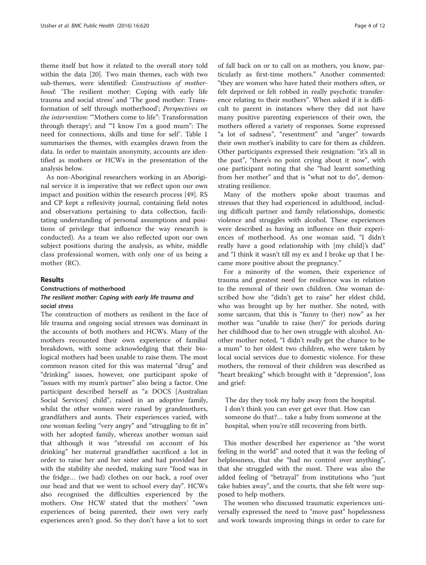theme itself but how it related to the overall story told within the data [\[20](#page-11-0)]. Two main themes, each with two sub-themes, were identified: Constructions of motherhood: 'The resilient mother: Coping with early life trauma and social stress' and 'The good mother: Transformation of self through motherhood'; Perspectives on the intervention: '"Mothers come to life": Transformation through therapy'; and '"I know I'm a good mum": The need for connections, skills and time for self'. Table [1](#page-4-0) summarises the themes, with examples drawn from the data. In order to maintain anonymity, accounts are identified as mothers or HCWs in the presentation of the analysis below.

As non-Aboriginal researchers working in an Aboriginal service it is imperative that we reflect upon our own impact and position within the research process [\[49\]](#page-11-0). RS and CP kept a reflexivity journal, containing field notes and observations pertaining to data collection, facilitating understanding of personal assumptions and positions of privilege that influence the way research is conducted). As a team we also reflected upon our own subject positions during the analysis, as white, middle class professional women, with only one of us being a mother (RC).

# Results

Constructions of motherhood The resilient mother: Coping with early life trauma and social stress

The construction of mothers as resilient in the face of life trauma and ongoing social stresses was dominant in the accounts of both mothers and HCWs. Many of the mothers recounted their own experience of familial breakdown, with some acknowledging that their biological mothers had been unable to raise them. The most common reason cited for this was maternal "drug" and "drinking" issues, however, one participant spoke of "issues with my mum's partner" also being a factor. One participant described herself as "a DOCS [Australian Social Services] child", raised in an adoptive family, whilst the other women were raised by grandmothers, grandfathers and aunts. Their experiences varied, with one woman feeling "very angry" and "struggling to fit in" with her adopted family, whereas another woman said that although it was "stressful on account of his drinking" her maternal grandfather sacrificed a lot in order to raise her and her sister and had provided her with the stability she needed, making sure "food was in the fridge… (we had) clothes on our back, a roof over our head and that we went to school every day". HCWs also recognised the difficulties experienced by the mothers. One HCW stated that the mothers' "own experiences of being parented, their own very early experiences aren't good. So they don't have a lot to sort of fall back on or to call on as mothers, you know, particularly as first-time mothers." Another commented: "they are women who have hated their mothers often, or felt deprived or felt robbed in really psychotic transference relating to their mothers". When asked if it is difficult to parent in instances where they did not have many positive parenting experiences of their own, the mothers offered a variety of responses. Some expressed "a lot of sadness", "resentment" and "anger" towards their own mother's inability to care for them as children. Other participants expressed their resignation: "it's all in the past", "there's no point crying about it now", with one participant noting that she "had learnt something from her mother" and that is "what not to do", demonstrating resilience.

Many of the mothers spoke about traumas and stresses that they had experienced in adulthood, including difficult partner and family relationships, domestic violence and struggles with alcohol. These experiences were described as having an influence on their experiences of motherhood. As one woman said, "I didn't really have a good relationship with [my child]'s dad" and "I think it wasn't till my ex and I broke up that I became more positive about the pregnancy."

For a minority of the women, their experience of trauma and greatest need for resilience was in relation to the removal of their own children. One woman described how she "didn't get to raise" her eldest child, who was brought up by her mother. She noted, with some sarcasm, that this is "funny to (her) now" as her mother was "unable to raise (her)" for periods during her childhood due to her own struggle with alcohol. Another mother noted, "I didn't really get the chance to be a mum" to her oldest two children, who were taken by local social services due to domestic violence. For these mothers, the removal of their children was described as "heart breaking" which brought with it "depression", loss and grief:

The day they took my baby away from the hospital. I don't think you can ever get over that. How can someone do that?… take a baby from someone at the hospital, when you're still recovering from birth.

This mother described her experience as "the worst feeling in the world" and noted that it was the feeling of helplessness, that she "had no control over anything", that she struggled with the most. There was also the added feeling of "betrayal" from institutions who "just take babies away", and the courts, that she felt were supposed to help mothers.

The women who discussed traumatic experiences universally expressed the need to "move past" hopelessness and work towards improving things in order to care for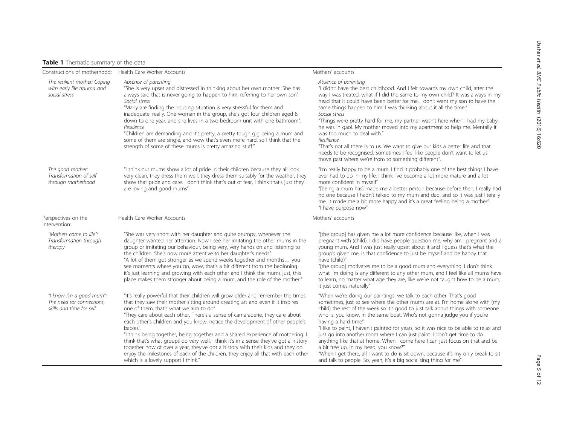# <span id="page-4-0"></span>Table 1 Thematic summary of the data

| Constructions of motherhood:                                                       | Health Care Worker Accounts                                                                                                                                                                                                                                                                                                                                                                                                                                                                                                                                                                                                                                                                                                                                                       | Mothers' accounts                                                                                                                                                                                                                                                                                                                                                                                                                                                                                                                                                                                                                                                                                                                                                                                  |
|------------------------------------------------------------------------------------|-----------------------------------------------------------------------------------------------------------------------------------------------------------------------------------------------------------------------------------------------------------------------------------------------------------------------------------------------------------------------------------------------------------------------------------------------------------------------------------------------------------------------------------------------------------------------------------------------------------------------------------------------------------------------------------------------------------------------------------------------------------------------------------|----------------------------------------------------------------------------------------------------------------------------------------------------------------------------------------------------------------------------------------------------------------------------------------------------------------------------------------------------------------------------------------------------------------------------------------------------------------------------------------------------------------------------------------------------------------------------------------------------------------------------------------------------------------------------------------------------------------------------------------------------------------------------------------------------|
| The resilient mother: Coping<br>with early life trauma and<br>social stress        | Absence of parenting<br>"She is very upset and distressed in thinking about her own mother. She has<br>always said that is never going to happen to him, referring to her own son".<br>Social stress<br>"Many are finding the housing situation is very stressful for them and<br>inadequate, really. One woman in the group, she's got four children aged 8<br>down to one year, and she lives in a two-bedroom unit with one bathroom".<br>Resilience<br>"Children are demanding and it's pretty, a pretty tough gig being a mum and<br>some of them are single, and wow that's even more hard, so I think that the<br>strength of some of these mums is pretty amazing stuff."                                                                                                 | Absence of parenting<br>"I didn't have the best childhood. And I felt towards my own child, after the<br>way I was treated, what if I did the same to my own child? It was always in my<br>head that it could have been better for me. I don't want my son to have the<br>same things happen to him. I was thinking about it all the time."<br>Social stress<br>"Things were pretty hard for me, my partner wasn't here when I had my baby,<br>he was in gaol. My mother moved into my apartment to help me. Mentally it<br>was too much to deal with."<br>Resilience<br>"That's not all there is to us. We want to give our kids a better life and that<br>needs to be recognised. Sometimes I feel like people don't want to let us<br>move past where we're from to something different".       |
| The good mother:<br>Transformation of self<br>through motherhood                   | "I think our mums show a lot of pride in their children because they all look<br>very clean, they dress them well, they dress them suitably for the weather, they<br>show that pride and care. I don't think that's out of fear, I think that's just they<br>are loving and good mums".                                                                                                                                                                                                                                                                                                                                                                                                                                                                                           | "I'm really happy to be a mum, I find it probably one of the best things I have<br>ever had to do in my life. I think I've become a lot more mature and a lot<br>more confident in myself"<br>"[being a mum has] made me a better person because before then, I really had<br>no one because I hadn't talked to my mum and dad, and so it was just literally<br>me. It made me a bit more happy and it's a great feeling being a mother".<br>"I have purpose now"                                                                                                                                                                                                                                                                                                                                  |
| Perspectives on the<br>intervention:                                               | Health Care Worker Accounts                                                                                                                                                                                                                                                                                                                                                                                                                                                                                                                                                                                                                                                                                                                                                       | Mothers' accounts                                                                                                                                                                                                                                                                                                                                                                                                                                                                                                                                                                                                                                                                                                                                                                                  |
| "Mothers come to life":<br>Transformation through<br>therapy                       | "She was very short with her daughter and quite grumpy, whenever the<br>daughter wanted her attention. Now I see her imitating the other mums in the<br>group or imitating our behaviour, being very, very hands on and listening to<br>the children. She's now more attentive to her daughter's needs".<br>"A lot of them got stronger as we spend weeks together and months you<br>see moments where you go, wow, that's a bit different from the beginning<br>it's just learning and growing with each other and I think the mums just, this<br>place makes them stronger about being a mum, and the role of the mother."                                                                                                                                                      | "[the group] has given me a lot more confidence because like, when I was<br>pregnant with (child), I did have people question me, why am I pregnant and a<br>young mum. And I was just really upset about it and I guess that's what the<br>group's given me, is that confidence to just be myself and be happy that I<br>have (child)".<br>"[the group] motivates me to be a good mum and everything. I don't think<br>what I'm doing is any different to any other mum, and I feel like all mums have<br>to learn, no matter what age they are, like we're not taught how to be a mum,<br>it just comes naturally"                                                                                                                                                                               |
| "I know I'm a good mum":<br>The need for connections,<br>skills and time for self. | "It's really powerful that their children will grow older and remember the times<br>that they saw their mother sitting around creating art and even if it inspires<br>one of them, that's what we aim to do"<br>"They care about each other. There's a sense of camaraderie, they care about<br>each other's children and you know, notice the development of other people's<br>babies".<br>"I think being together, being together and a shared experience of mothering. I<br>think that's what groups do very well. I think it's in a sense they've got a history<br>together now of over a year, they've got a history with their kids and they do<br>enjoy the milestones of each of the children, they enjoy all that with each other<br>which is a lovely support I think." | "When we're doing our paintings, we talk to each other. That's good<br>sometimes, just to see where the other mums are at. I'm home alone with (my<br>child) the rest of the week so it's good to just talk about things with someone<br>who is, you know, in the same boat. Who's not gonna judge you if you're<br>having a hard time"<br>"I like to paint, I haven't painted for years, so it was nice to be able to relax and<br>just go into another room where I can just paint. I don't get time to do<br>anything like that at home. When I come here I can just focus on that and be<br>a bit free up, in my head, you know?"<br>"When I get there, all I want to do is sit down, because it's my only break to sit<br>and talk to people. So, yeah, it's a big socialising thing for me". |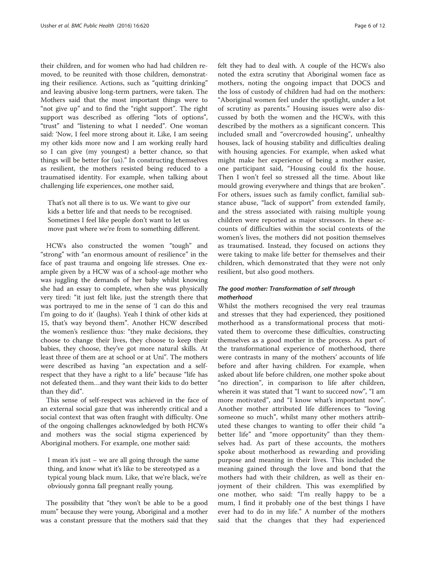their children, and for women who had had children removed, to be reunited with those children, demonstrating their resilience. Actions, such as "quitting drinking" and leaving abusive long-term partners, were taken. The Mothers said that the most important things were to "not give up" and to find the "right support". The right support was described as offering "lots of options", "trust" and "listening to what I needed". One woman said: 'Now, I feel more strong about it. Like, I am seeing my other kids more now and I am working really hard so I can give (my youngest) a better chance, so that things will be better for (us)." In constructing themselves as resilient, the mothers resisted being reduced to a traumatised identity. For example, when talking about challenging life experiences, one mother said,

That's not all there is to us. We want to give our kids a better life and that needs to be recognised. Sometimes I feel like people don't want to let us move past where we're from to something different.

HCWs also constructed the women "tough" and "strong" with "an enormous amount of resilience" in the face of past trauma and ongoing life stresses. One example given by a HCW was of a school-age mother who was juggling the demands of her baby whilst knowing she had an essay to complete, when she was physically very tired: "it just felt like, just the strength there that was portrayed to me in the sense of 'I can do this and I'm going to do it' (laughs). Yeah I think of other kids at 15, that's way beyond them". Another HCW described the women's resilience thus: "they make decisions, they choose to change their lives, they choose to keep their babies, they choose, they've got more natural skills. At least three of them are at school or at Uni". The mothers were described as having "an expectation and a selfrespect that they have a right to a life" because "life has not defeated them…and they want their kids to do better than they did".

This sense of self-respect was achieved in the face of an external social gaze that was inherently critical and a social context that was often fraught with difficulty. One of the ongoing challenges acknowledged by both HCWs and mothers was the social stigma experienced by Aboriginal mothers. For example, one mother said:

I mean it's just – we are all going through the same thing, and know what it's like to be stereotyped as a typical young black mum. Like, that we're black, we're obviously gonna fall pregnant really young.

The possibility that "they won't be able to be a good mum" because they were young, Aboriginal and a mother was a constant pressure that the mothers said that they felt they had to deal with. A couple of the HCWs also noted the extra scrutiny that Aboriginal women face as mothers, noting the ongoing impact that DOCS and the loss of custody of children had had on the mothers: "Aboriginal women feel under the spotlight, under a lot of scrutiny as parents." Housing issues were also discussed by both the women and the HCWs, with this described by the mothers as a significant concern. This included small and "overcrowded housing", unhealthy houses, lack of housing stability and difficulties dealing with housing agencies. For example, when asked what might make her experience of being a mother easier, one participant said, "Housing could fix the house. Then I won't feel so stressed all the time. About like mould growing everywhere and things that are broken". For others, issues such as family conflict, familial substance abuse, "lack of support" from extended family, and the stress associated with raising multiple young children were reported as major stressors. In these accounts of difficulties within the social contexts of the women's lives, the mothers did not position themselves as traumatised. Instead, they focused on actions they were taking to make life better for themselves and their children, which demonstrated that they were not only resilient, but also good mothers.

# The good mother: Transformation of self through motherhood

Whilst the mothers recognised the very real traumas and stresses that they had experienced, they positioned motherhood as a transformational process that motivated them to overcome these difficulties, constructing themselves as a good mother in the process. As part of the transformational experience of motherhood, there were contrasts in many of the mothers' accounts of life before and after having children. For example, when asked about life before children, one mother spoke about "no direction", in comparison to life after children, wherein it was stated that "I want to succeed now", "I am more motivated", and "I know what's important now". Another mother attributed life differences to "loving someone so much", whilst many other mothers attributed these changes to wanting to offer their child "a better life" and "more opportunity" than they themselves had. As part of these accounts, the mothers spoke about motherhood as rewarding and providing purpose and meaning in their lives. This included the meaning gained through the love and bond that the mothers had with their children, as well as their enjoyment of their children. This was exemplified by one mother, who said: "I'm really happy to be a mum, I find it probably one of the best things I have ever had to do in my life." A number of the mothers said that the changes that they had experienced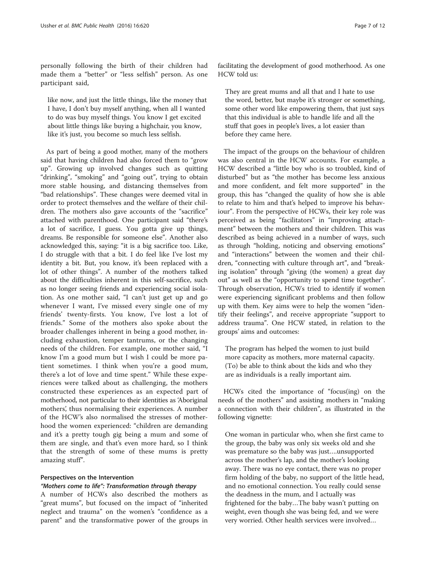personally following the birth of their children had made them a "better" or "less selfish" person. As one participant said,

like now, and just the little things, like the money that I have, I don't buy myself anything, when all I wanted to do was buy myself things. You know I get excited about little things like buying a highchair, you know, like it's just, you become so much less selfish.

As part of being a good mother, many of the mothers said that having children had also forced them to "grow up". Growing up involved changes such as quitting "drinking", "smoking" and "going out", trying to obtain more stable housing, and distancing themselves from "bad relationships". These changes were deemed vital in order to protect themselves and the welfare of their children. The mothers also gave accounts of the "sacrifice" attached with parenthood. One participant said "there's a lot of sacrifice, I guess. You gotta give up things, dreams. Be responsible for someone else". Another also acknowledged this, saying: "it is a big sacrifice too. Like, I do struggle with that a bit. I do feel like I've lost my identity a bit. But, you know, it's been replaced with a lot of other things". A number of the mothers talked about the difficulties inherent in this self-sacrifice, such as no longer seeing friends and experiencing social isolation. As one mother said, "I can't just get up and go whenever I want, I've missed every single one of my friends' twenty-firsts. You know, I've lost a lot of friends." Some of the mothers also spoke about the broader challenges inherent in being a good mother, including exhaustion, temper tantrums, or the changing needs of the children. For example, one mother said, "I know I'm a good mum but I wish I could be more patient sometimes. I think when you're a good mum, there's a lot of love and time spent." While these experiences were talked about as challenging, the mothers constructed these experiences as an expected part of motherhood, not particular to their identities as 'Aboriginal mothers', thus normalising their experiences. A number of the HCW's also normalised the stresses of motherhood the women experienced: "children are demanding and it's a pretty tough gig being a mum and some of them are single, and that's even more hard, so I think that the strength of some of these mums is pretty amazing stuff".

#### Perspectives on the Intervention

### "Mothers come to life": Transformation through therapy

A number of HCWs also described the mothers as "great mums", but focused on the impact of "inherited neglect and trauma" on the women's "confidence as a parent" and the transformative power of the groups in

facilitating the development of good motherhood. As one HCW told us:

They are great mums and all that and I hate to use the word, better, but maybe it's stronger or something, some other word like empowering them, that just says that this individual is able to handle life and all the stuff that goes in people's lives, a lot easier than before they came here.

The impact of the groups on the behaviour of children was also central in the HCW accounts. For example, a HCW described a "little boy who is so troubled, kind of disturbed" but as "the mother has become less anxious and more confident, and felt more supported" in the group, this has "changed the quality of how she is able to relate to him and that's helped to improve his behaviour". From the perspective of HCWs, their key role was perceived as being "facilitators" in "improving attachment" between the mothers and their children. This was described as being achieved in a number of ways, such as through "holding, noticing and observing emotions" and "interactions" between the women and their children, "connecting with culture through art", and "breaking isolation" through "giving (the women) a great day out" as well as the "opportunity to spend time together". Through observation, HCWs tried to identify if women were experiencing significant problems and then follow up with them. Key aims were to help the women "identify their feelings", and receive appropriate "support to address trauma". One HCW stated, in relation to the groups' aims and outcomes:

The program has helped the women to just build more capacity as mothers, more maternal capacity. (To) be able to think about the kids and who they are as individuals is a really important aim.

HCWs cited the importance of "focus(ing) on the needs of the mothers" and assisting mothers in "making a connection with their children", as illustrated in the following vignette:

One woman in particular who, when she first came to the group, the baby was only six weeks old and she was premature so the baby was just….unsupported across the mother's lap, and the mother's looking away. There was no eye contact, there was no proper firm holding of the baby, no support of the little head, and no emotional connection. You really could sense the deadness in the mum, and I actually was frightened for the baby…The baby wasn't putting on weight, even though she was being fed, and we were very worried. Other health services were involved…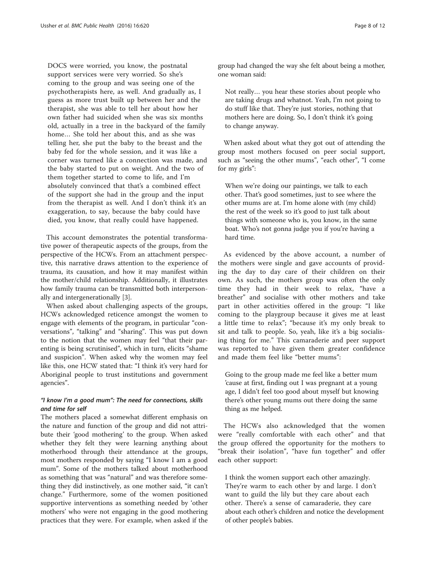DOCS were worried, you know, the postnatal support services were very worried. So she's coming to the group and was seeing one of the psychotherapists here, as well. And gradually as, I guess as more trust built up between her and the therapist, she was able to tell her about how her own father had suicided when she was six months old, actually in a tree in the backyard of the family home… She told her about this, and as she was telling her, she put the baby to the breast and the baby fed for the whole session, and it was like a corner was turned like a connection was made, and the baby started to put on weight. And the two of them together started to come to life, and I'm absolutely convinced that that's a combined effect of the support she had in the group and the input from the therapist as well. And I don't think it's an exaggeration, to say, because the baby could have died, you know, that really could have happened.

This account demonstrates the potential transformative power of therapeutic aspects of the groups, from the perspective of the HCWs. From an attachment perspective, this narrative draws attention to the experience of trauma, its causation, and how it may manifest within the mother/child relationship. Additionally, it illustrates how family trauma can be transmitted both interpersonally and intergenerationally [[3\]](#page-10-0).

When asked about challenging aspects of the groups, HCWs acknowledged reticence amongst the women to engage with elements of the program, in particular "conversations", "talking" and "sharing". This was put down to the notion that the women may feel "that their parenting is being scrutinised", which in turn, elicits "shame and suspicion". When asked why the women may feel like this, one HCW stated that: "I think it's very hard for Aboriginal people to trust institutions and government agencies".

# "I know I'm a good mum": The need for connections, skills and time for self

The mothers placed a somewhat different emphasis on the nature and function of the group and did not attribute their 'good mothering' to the group. When asked whether they felt they were learning anything about motherhood through their attendance at the groups, most mothers responded by saying "I know I am a good mum". Some of the mothers talked about motherhood as something that was "natural" and was therefore something they did instinctively, as one mother said, "it can't change." Furthermore, some of the women positioned supportive interventions as something needed by 'other mothers' who were not engaging in the good mothering practices that they were. For example, when asked if the

group had changed the way she felt about being a mother, one woman said:

Not really… you hear these stories about people who are taking drugs and whatnot. Yeah, I'm not going to do stuff like that. They're just stories, nothing that mothers here are doing. So, I don't think it's going to change anyway.

When asked about what they got out of attending the group most mothers focused on peer social support, such as "seeing the other mums", "each other", "I come for my girls":

When we're doing our paintings, we talk to each other. That's good sometimes, just to see where the other mums are at. I'm home alone with (my child) the rest of the week so it's good to just talk about things with someone who is, you know, in the same boat. Who's not gonna judge you if you're having a hard time.

As evidenced by the above account, a number of the mothers were single and gave accounts of providing the day to day care of their children on their own. As such, the mothers group was often the only time they had in their week to relax, "have a breather" and socialise with other mothers and take part in other activities offered in the group: "I like coming to the playgroup because it gives me at least a little time to relax"; "because it's my only break to sit and talk to people. So, yeah, like it's a big socialising thing for me." This camaraderie and peer support was reported to have given them greater confidence and made them feel like "better mums":

Going to the group made me feel like a better mum 'cause at first, finding out I was pregnant at a young age, I didn't feel too good about myself but knowing there's other young mums out there doing the same thing as me helped.

The HCWs also acknowledged that the women were "really comfortable with each other" and that the group offered the opportunity for the mothers to "break their isolation", "have fun together" and offer each other support:

I think the women support each other amazingly. They're warm to each other by and large. I don't want to guild the lily but they care about each other. There's a sense of camaraderie, they care about each other's children and notice the development of other people's babies.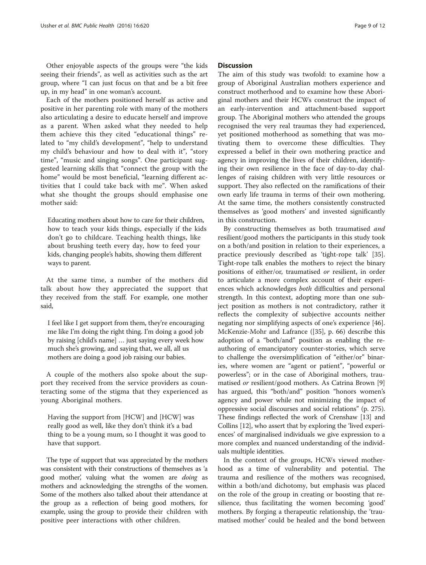Other enjoyable aspects of the groups were "the kids seeing their friends", as well as activities such as the art group, where "I can just focus on that and be a bit free up, in my head" in one woman's account.

Each of the mothers positioned herself as active and positive in her parenting role with many of the mothers also articulating a desire to educate herself and improve as a parent. When asked what they needed to help them achieve this they cited "educational things" related to "my child's development", "help to understand my child's behaviour and how to deal with it", "story time", "music and singing songs". One participant suggested learning skills that "connect the group with the home" would be most beneficial, "learning different activities that I could take back with me". When asked what she thought the groups should emphasise one mother said:

Educating mothers about how to care for their children, how to teach your kids things, especially if the kids don't go to childcare. Teaching health things, like about brushing teeth every day, how to feed your kids, changing people's habits, showing them different ways to parent.

At the same time, a number of the mothers did talk about how they appreciated the support that they received from the staff. For example, one mother said,

I feel like I get support from them, they're encouraging me like I'm doing the right thing. I'm doing a good job by raising [child's name] … just saying every week how much she's growing, and saying that, we all, all us mothers are doing a good job raising our babies.

A couple of the mothers also spoke about the support they received from the service providers as counteracting some of the stigma that they experienced as young Aboriginal mothers.

Having the support from [HCW] and [HCW] was really good as well, like they don't think it's a bad thing to be a young mum, so I thought it was good to have that support.

The type of support that was appreciated by the mothers was consistent with their constructions of themselves as 'a good mother, valuing what the women are *doing* as mothers and acknowledging the strengths of the women. Some of the mothers also talked about their attendance at the group as a reflection of being good mothers, for example, using the group to provide their children with positive peer interactions with other children.

# **Discussion**

The aim of this study was twofold: to examine how a group of Aboriginal Australian mothers experience and construct motherhood and to examine how these Aboriginal mothers and their HCWs construct the impact of an early-intervention and attachment-based support group. The Aboriginal mothers who attended the groups recognised the very real traumas they had experienced, yet positioned motherhood as something that was motivating them to overcome these difficulties. They expressed a belief in their own mothering practice and agency in improving the lives of their children, identifying their own resilience in the face of day-to-day challenges of raising children with very little resources or support. They also reflected on the ramifications of their own early life trauma in terms of their own mothering. At the same time, the mothers consistently constructed themselves as 'good mothers' and invested significantly in this construction.

By constructing themselves as both traumatised and resilient/good mothers the participants in this study took on a both/and position in relation to their experiences, a practice previously described as 'tight-rope talk' [\[35](#page-11-0)]. Tight-rope talk enables the mothers to reject the binary positions of either/or, traumatised or resilient, in order to articulate a more complex account of their experiences which acknowledges both difficulties and personal strength. In this context, adopting more than one subject position as mothers is not contradictory, rather it reflects the complexity of subjective accounts neither negating nor simplifying aspects of one's experience [\[46](#page-11-0)]. McKenzie-Mohr and Lafrance ([\[35\]](#page-11-0), p. 66) describe this adoption of a "both/and" position as enabling the reauthoring of emancipatory counter-stories, which serve to challenge the oversimplification of "either/or" binaries, where women are "agent or patient", "powerful or powerless"; or in the case of Aboriginal mothers, traumatised or resilient/good mothers. As Catrina Brown [\[9](#page-11-0)] has argued, this "both/and" position "honors women's agency and power while not minimizing the impact of oppressive social discourses and social relations" (p. 275). These findings reflected the work of Crenshaw [[13\]](#page-11-0) and Collins [[12](#page-11-0)], who assert that by exploring the 'lived experiences' of marginalised individuals we give expression to a more complex and nuanced understanding of the individuals multiple identities.

In the context of the groups, HCWs viewed motherhood as a time of vulnerability and potential. The trauma and resilience of the mothers was recognised, within a both/and dichotomy, but emphasis was placed on the role of the group in creating or boosting that resilience, thus facilitating the women becoming 'good' mothers. By forging a therapeutic relationship, the 'traumatised mother' could be healed and the bond between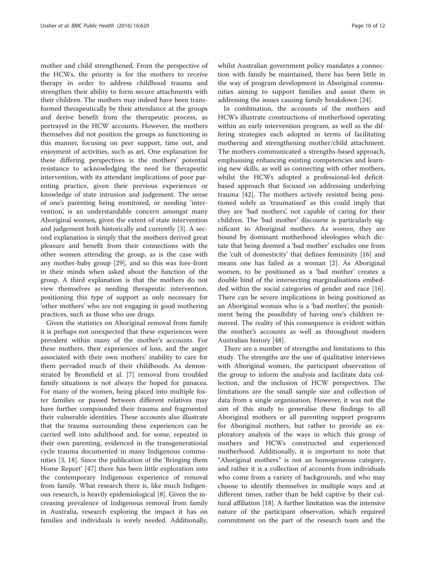mother and child strengthened. From the perspective of the HCWs, the priority is for the mothers to receive therapy in order to address childhood trauma and strengthen their ability to form secure attachments with their children. The mothers may indeed have been transformed therapeutically by their attendance at the groups and derive benefit from the therapeutic process, as portrayed in the HCW accounts. However, the mothers themselves did not position the groups as functioning in this manner, focusing on peer support, time out, and enjoyment of activities, such as art. One explanation for these differing perspectives is the mothers' potential resistance to acknowledging the need for therapeutic intervention, with its attendant implications of poor parenting practice, given their previous experiences or knowledge of state intrusion and judgement. The sense of one's parenting being monitored, or needing 'intervention', is an understandable concern amongst many Aboriginal women, given the extent of state intervention and judgement both historically and currently [\[3](#page-10-0)]. A second explanation is simply that the mothers derived great pleasure and benefit from their connections with the other women attending the group, as is the case with any mother-baby group [\[29\]](#page-11-0), and so this was fore-front in their minds when asked about the function of the group. A third explanation is that the mothers do not view themselves as needing therapeutic intervention, positioning this type of support as only necessary for 'other mothers' who are not engaging in good mothering practices, such as those who use drugs.

Given the statistics on Aboriginal removal from family it is perhaps not unexpected that these experiences were prevalent within many of the mother's accounts. For these mothers, their experiences of loss, and the anger associated with their own mothers' inability to care for them pervaded much of their childhoods. As demonstrated by Bromfield et al. [[7\]](#page-11-0) removal from troubled family situations is not always the hoped for panacea. For many of the women, being placed into multiple foster families or passed between different relatives may have further compounded their trauma and fragmented their vulnerable identities. These accounts also illustrate that the trauma surrounding these experiences can be carried well into adulthood and, for some, repeated in their own parenting, evidenced in the transgenerational cycle trauma documented in many Indigenous communities [[3,](#page-10-0) [18\]](#page-11-0). Since the publication of the 'Bringing them Home Report' [[47](#page-11-0)] there has been little exploration into the contemporary Indigenous experience of removal from family. What research there is, like much Indigenous research, is heavily epidemiological [\[8\]](#page-11-0). Given the increasing prevalence of Indigenous removal from family in Australia, research exploring the impact it has on families and individuals is sorely needed. Additionally, whilst Australian government policy mandates a connection with family be maintained, there has been little in the way of program development in Aboriginal communities aiming to support families and assist them in addressing the issues causing family breakdown [[24\]](#page-11-0).

In combination, the accounts of the mothers and HCWs illustrate constructions of motherhood operating within an early intervention program, as well as the differing strategies each adopted in terms of facilitating mothering and strengthening mother/child attachment. The mothers communicated a strengths-based approach, emphasising enhancing existing competencies and learning new skills, as well as connecting with other mothers, whilst the HCWs adopted a professional-led deficitbased approach that focused on addressing underlying trauma [[42\]](#page-11-0). The mothers actively resisted being positioned solely as 'traumatised' as this could imply that they are 'bad mothers', not capable of caring for their children. The 'bad mother' discourse is particularly significant to Aboriginal mothers. As women, they are bound by dominant motherhood ideologies which dictate that being deemed a 'bad mother' excludes one from the 'cult of domesticity' that defines femininity [[16\]](#page-11-0) and means one has failed as a woman [[2\]](#page-10-0). As Aboriginal women, to be positioned as a 'bad mother' creates a double bind of the intersecting marginalisations embedded within the social categories of gender and race [\[16](#page-11-0)]. There can be severe implications in being positioned as an Aboriginal woman who is a 'bad mother', the punishment being the possibility of having one's children removed. The reality of this consequence is evident within the mother's accounts as well as throughout modern Australian history [\[48\]](#page-11-0).

There are a number of strengths and limitations to this study. The strengths are the use of qualitative interviews with Aboriginal women, the participant observation of the group to inform the analysis and facilitate data collection, and the inclusion of HCW perspectives. The limitations are the small sample size and collection of data from a single organisation. However, it was not the aim of this study to generalise these findings to all Aboriginal mothers or all parenting support programs for Aboriginal mothers, but rather to provide an exploratory analysis of the ways in which this group of mothers and HCWs constructed and experienced motherhood. Additionally, it is important to note that "Aboriginal mothers" is not an homogeneous category, and rather it is a collection of accounts from individuals who come from a variety of backgrounds, and who may choose to identify themselves in multiple ways and at different times, rather than be held captive by their cultural affiliation [[18](#page-11-0)]. A further limitation was the intensive nature of the participant observation, which required commitment on the part of the research team and the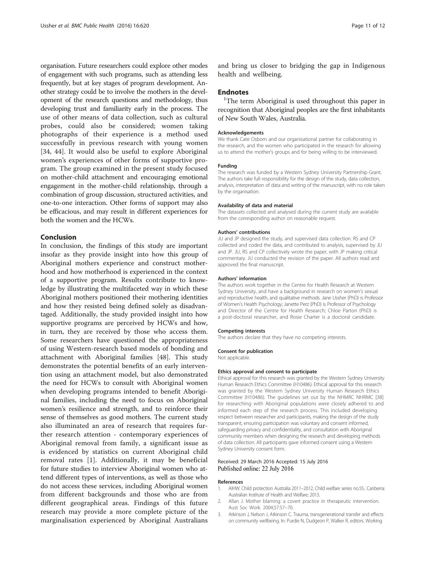<span id="page-10-0"></span>organisation. Future researchers could explore other modes of engagement with such programs, such as attending less frequently, but at key stages of program development. Another strategy could be to involve the mothers in the development of the research questions and methodology, thus developing trust and familiarity early in the process. The use of other means of data collection, such as cultural probes, could also be considered; women taking photographs of their experience is a method used successfully in previous research with young women [[34, 44](#page-11-0)]. It would also be useful to explore Aboriginal women's experiences of other forms of supportive program. The group examined in the present study focused on mother-child attachment and encouraging emotional engagement in the mother-child relationship, through a combination of group discussion, structured activities, and one-to-one interaction. Other forms of support may also be efficacious, and may result in different experiences for both the women and the HCWs.

# Conclusion

In conclusion, the findings of this study are important insofar as they provide insight into how this group of Aboriginal mothers experience and construct motherhood and how motherhood is experienced in the context of a supportive program. Results contribute to knowledge by illustrating the multifaceted way in which these Aboriginal mothers positioned their mothering identities and how they resisted being defined solely as disadvantaged. Additionally, the study provided insight into how supportive programs are perceived by HCWs and how, in turn, they are received by those who access them. Some researchers have questioned the appropriateness of using Western-research based models of bonding and attachment with Aboriginal families [[48\]](#page-11-0). This study demonstrates the potential benefits of an early intervention using an attachment model, but also demonstrated the need for HCWs to consult with Aboriginal women when developing programs intended to benefit Aboriginal families, including the need to focus on Aboriginal women's resilience and strength, and to reinforce their sense of themselves as good mothers. The current study also illuminated an area of research that requires further research attention - contemporary experiences of Aboriginal removal from family, a significant issue as is evidenced by statistics on current Aboriginal child removal rates [1]. Additionally, it may be beneficial for future studies to interview Aboriginal women who attend different types of interventions, as well as those who do not access these services, including Aboriginal women from different backgrounds and those who are from different geographical areas. Findings of this future research may provide a more complete picture of the marginalisation experienced by Aboriginal Australians

and bring us closer to bridging the gap in Indigenous health and wellbeing.

### **Endnotes**

<sup>1</sup>The term Aboriginal is used throughout this paper in recognition that Aboriginal peoples are the first inhabitants of New South Wales, Australia.

#### Acknowledgements

We thank Cate Osborn and our organisational partner for collaborating in the research, and the women who participated in the research for allowing us to attend the mother's groups and for being willing to be interviewed.

#### Funding

The research was funded by a Western Sydney University Partnership Grant. The authors take full responsibility for the design of the study, data collection, analysis, interpretation of data and writing of the manuscript, with no role taken by the organisation.

#### Availability of data and material

The datasets collected and analysed during the current study are available from the corresponding author on reasonable request.

#### Authors' contributions

JU and JP designed the study, and supervised data collection. RS and CP collected and coded the data, and contributed to analysis, supervised by JU and JP. JU, RS and CP collectively wrote the paper, with JP making critical commentary. JU conducted the revision of the paper. All authors read and approved the final manuscript.

#### Authors' information

The authors work together in the Centre for Health Research at Western Sydney University, and have a background in research on women's sexual and reproductive health, and qualitative methods. Jane Ussher (PhD) is Professor of Women's Health Psychology; Janette Perz (PhD) is Professor of Psychology and Director of the Centre for Health Research; Chloe Parton (PhD) is a post-doctoral researcher, and Rosie Charter is a doctoral candidate.

#### Competing interests

The authors declare that they have no competing interests.

# Consent for publication

Not applicable.

#### Ethics approval and consent to participate

Ethical approval for this research was granted by the Western Sydney University Human Research Ethics Committee (H10486). Ethical approval for this research was granted by the Western Sydney University Human Research Ethics Committee (H10486). The guidelines set out by the NHMRC NHRMC [\[38\]](#page-11-0) for researching with Aboriginal populations were closely adhered to and informed each step of the research process. This included developing respect between researcher and participants, making the design of the study transparent, ensuring participation was voluntary and consent informed, safeguarding privacy and confidentiality, and consultation with Aboriginal community members when designing the research and developing methods of data collection. All participants gave informed consent using a Western Sydney University consent form.

#### Received: 29 March 2016 Accepted: 15 July 2016 Published online: 22 July 2016

#### References

- 1. AIHW. Child protection Australia 2011–2012, Child welfare series no.55.. Canberra: Australian Institute of Health and Welfare; 2013.
- 2. Allan J. Mother blaming: a covert practice in therapeutic intervention. Aust Soc Work. 2004;57:57–70.
- 3. Atkinson J, Nelson J, Atkinson C. Trauma, transgenerational transfer and effects on community wellbeing. In: Purdie N, Dudgeon P, Walker R, editors. Working